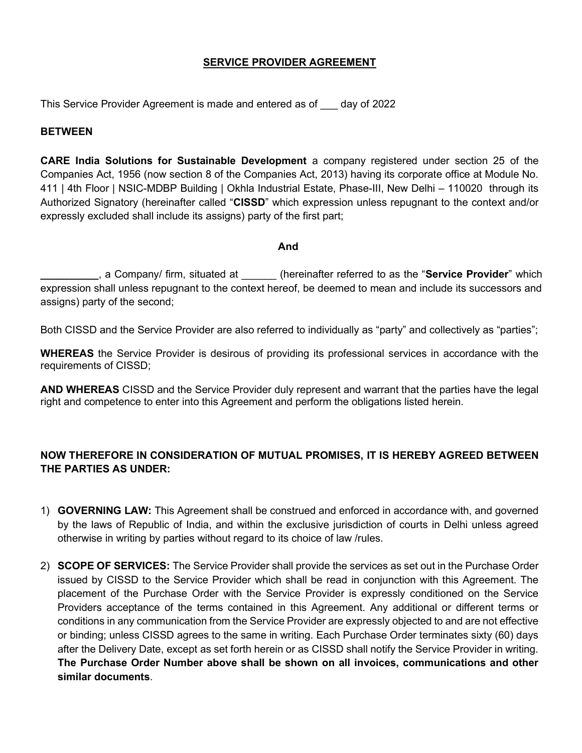## **SERVICE PROVIDER AGREEMENT**

This Service Provider Agreement is made and entered as of \_\_\_ day of 2022

## **BETWEEN**

CARE India Solutions for Sustainable Development a company registered under section 25 of the Companies Act, 1956 (now section 8 of the Companies Act, 2013) having its corporate office at Module No. 411 | 4th Floor | NSIC-MDBP Building | Okhla Industrial Estate, Phase-III, New Delhi – 110020 through its Authorized Signatory (hereinafter called "CISSD" which expression unless repugnant to the context and/or expressly excluded shall include its assigns) party of the first part;

## And

a Company/ firm, situated at **the interpret of the referred to as the "Service Provider**" which expression shall unless repugnant to the context hereof, be deemed to mean and include its successors and assigns) party of the second;

Both CISSD and the Service Provider are also referred to individually as "party" and collectively as "parties";

WHEREAS the Service Provider is desirous of providing its professional services in accordance with the requirements of CISSD;

AND WHEREAS CISSD and the Service Provider duly represent and warrant that the parties have the legal right and competence to enter into this Agreement and perform the obligations listed herein.

## NOW THEREFORE IN CONSIDERATION OF MUTUAL PROMISES, IT IS HEREBY AGREED BETWEEN THE PARTIES AS UNDER:

- 1) GOVERNING LAW: This Agreement shall be construed and enforced in accordance with, and governed by the laws of Republic of India, and within the exclusive jurisdiction of courts in Delhi unless agreed otherwise in writing by parties without regard to its choice of law /rules.
- 2) SCOPE OF SERVICES: The Service Provider shall provide the services as set out in the Purchase Order issued by CISSD to the Service Provider which shall be read in conjunction with this Agreement. The placement of the Purchase Order with the Service Provider is expressly conditioned on the Service Providers acceptance of the terms contained in this Agreement. Any additional or different terms or conditions in any communication from the Service Provider are expressly objected to and are not effective or binding; unless CISSD agrees to the same in writing. Each Purchase Order terminates sixty (60) days after the Delivery Date, except as set forth herein or as CISSD shall notify the Service Provider in writing. The Purchase Order Number above shall be shown on all invoices, communications and other similar documents.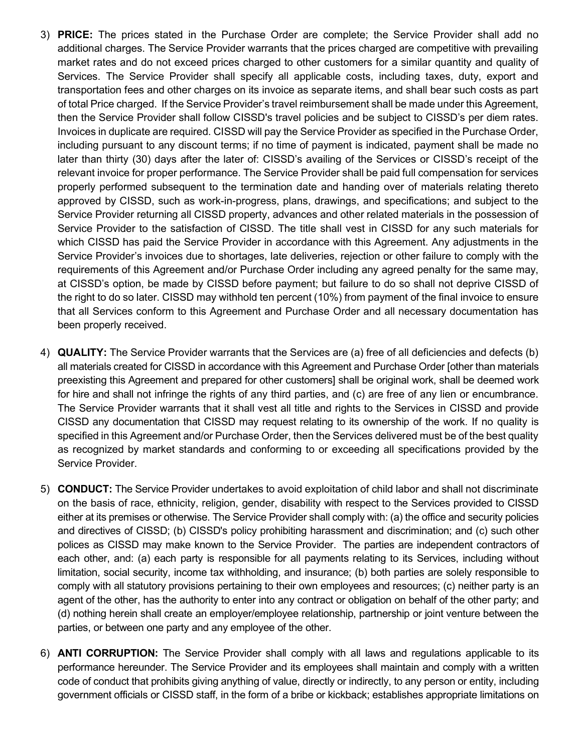- 3) **PRICE:** The prices stated in the Purchase Order are complete; the Service Provider shall add no additional charges. The Service Provider warrants that the prices charged are competitive with prevailing market rates and do not exceed prices charged to other customers for a similar quantity and quality of Services. The Service Provider shall specify all applicable costs, including taxes, duty, export and transportation fees and other charges on its invoice as separate items, and shall bear such costs as part of total Price charged. If the Service Provider's travel reimbursement shall be made under this Agreement, then the Service Provider shall follow CISSD's travel policies and be subject to CISSD's per diem rates. Invoices in duplicate are required. CISSD will pay the Service Provider as specified in the Purchase Order, including pursuant to any discount terms; if no time of payment is indicated, payment shall be made no later than thirty (30) days after the later of: CISSD's availing of the Services or CISSD's receipt of the relevant invoice for proper performance. The Service Provider shall be paid full compensation for services properly performed subsequent to the termination date and handing over of materials relating thereto approved by CISSD, such as work-in-progress, plans, drawings, and specifications; and subject to the Service Provider returning all CISSD property, advances and other related materials in the possession of Service Provider to the satisfaction of CISSD. The title shall vest in CISSD for any such materials for which CISSD has paid the Service Provider in accordance with this Agreement. Any adjustments in the Service Provider's invoices due to shortages, late deliveries, rejection or other failure to comply with the requirements of this Agreement and/or Purchase Order including any agreed penalty for the same may, at CISSD's option, be made by CISSD before payment; but failure to do so shall not deprive CISSD of the right to do so later. CISSD may withhold ten percent (10%) from payment of the final invoice to ensure that all Services conform to this Agreement and Purchase Order and all necessary documentation has been properly received.
- 4) QUALITY: The Service Provider warrants that the Services are (a) free of all deficiencies and defects (b) all materials created for CISSD in accordance with this Agreement and Purchase Order [other than materials preexisting this Agreement and prepared for other customers] shall be original work, shall be deemed work for hire and shall not infringe the rights of any third parties, and (c) are free of any lien or encumbrance. The Service Provider warrants that it shall vest all title and rights to the Services in CISSD and provide CISSD any documentation that CISSD may request relating to its ownership of the work. If no quality is specified in this Agreement and/or Purchase Order, then the Services delivered must be of the best quality as recognized by market standards and conforming to or exceeding all specifications provided by the Service Provider.
- 5) CONDUCT: The Service Provider undertakes to avoid exploitation of child labor and shall not discriminate on the basis of race, ethnicity, religion, gender, disability with respect to the Services provided to CISSD either at its premises or otherwise. The Service Provider shall comply with: (a) the office and security policies and directives of CISSD; (b) CISSD's policy prohibiting harassment and discrimination; and (c) such other polices as CISSD may make known to the Service Provider. The parties are independent contractors of each other, and: (a) each party is responsible for all payments relating to its Services, including without limitation, social security, income tax withholding, and insurance; (b) both parties are solely responsible to comply with all statutory provisions pertaining to their own employees and resources; (c) neither party is an agent of the other, has the authority to enter into any contract or obligation on behalf of the other party; and (d) nothing herein shall create an employer/employee relationship, partnership or joint venture between the parties, or between one party and any employee of the other.
- 6) ANTI CORRUPTION: The Service Provider shall comply with all laws and regulations applicable to its performance hereunder. The Service Provider and its employees shall maintain and comply with a written code of conduct that prohibits giving anything of value, directly or indirectly, to any person or entity, including government officials or CISSD staff, in the form of a bribe or kickback; establishes appropriate limitations on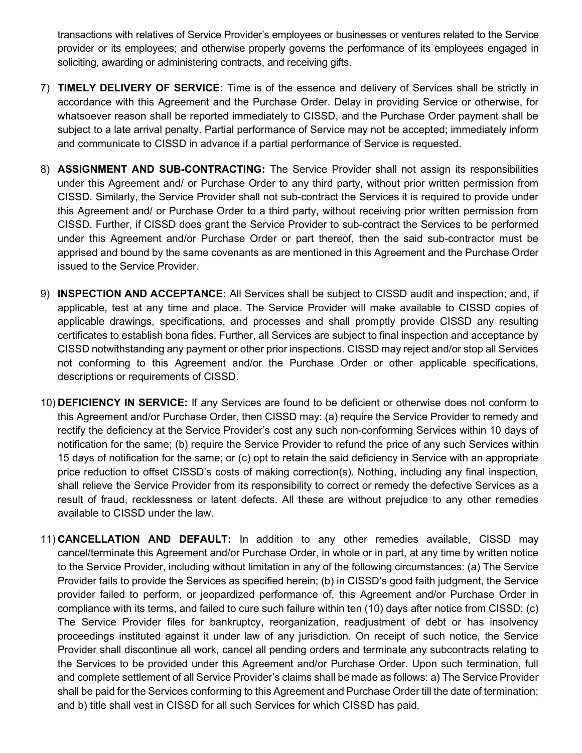transactions with relatives of Service Provider's employees or businesses or ventures related to the Service provider or its employees; and otherwise properly governs the performance of its employees engaged in soliciting, awarding or administering contracts, and receiving gifts.

- 7) TIMELY DELIVERY OF SERVICE: Time is of the essence and delivery of Services shall be strictly in accordance with this Agreement and the Purchase Order. Delay in providing Service or otherwise, for whatsoever reason shall be reported immediately to CISSD, and the Purchase Order payment shall be subject to a late arrival penalty. Partial performance of Service may not be accepted; immediately inform and communicate to CISSD in advance if a partial performance of Service is requested.
- 8) **ASSIGNMENT AND SUB-CONTRACTING:** The Service Provider shall not assign its responsibilities under this Agreement and/ or Purchase Order to any third party, without prior written permission from CISSD. Similarly, the Service Provider shall not sub-contract the Services it is required to provide under this Agreement and/ or Purchase Order to a third party, without receiving prior written permission from CISSD. Further, if CISSD does grant the Service Provider to sub-contract the Services to be performed under this Agreement and/or Purchase Order or part thereof, then the said sub-contractor must be apprised and bound by the same covenants as are mentioned in this Agreement and the Purchase Order issued to the Service Provider.
- 9) INSPECTION AND ACCEPTANCE: All Services shall be subject to CISSD audit and inspection; and, if applicable, test at any time and place. The Service Provider will make available to CISSD copies of applicable drawings, specifications, and processes and shall promptly provide CISSD any resulting certificates to establish bona fides. Further, all Services are subject to final inspection and acceptance by CISSD notwithstanding any payment or other prior inspections. CISSD may reject and/or stop all Services not conforming to this Agreement and/or the Purchase Order or other applicable specifications, descriptions or requirements of CISSD.
- 10) DEFICIENCY IN SERVICE: If any Services are found to be deficient or otherwise does not conform to this Agreement and/or Purchase Order, then CISSD may: (a) require the Service Provider to remedy and rectify the deficiency at the Service Provider's cost any such non-conforming Services within 10 days of notification for the same; (b) require the Service Provider to refund the price of any such Services within 15 days of notification for the same; or (c) opt to retain the said deficiency in Service with an appropriate price reduction to offset CISSD's costs of making correction(s). Nothing, including any final inspection, shall relieve the Service Provider from its responsibility to correct or remedy the defective Services as a result of fraud, recklessness or latent defects. All these are without prejudice to any other remedies available to CISSD under the law.
- 11) CANCELLATION AND DEFAULT: In addition to any other remedies available, CISSD may cancel/terminate this Agreement and/or Purchase Order, in whole or in part, at any time by written notice to the Service Provider, including without limitation in any of the following circumstances: (a) The Service Provider fails to provide the Services as specified herein; (b) in CISSD's good faith judgment, the Service provider failed to perform, or jeopardized performance of, this Agreement and/or Purchase Order in compliance with its terms, and failed to cure such failure within ten (10) days after notice from CISSD; (c) The Service Provider files for bankruptcy, reorganization, readjustment of debt or has insolvency proceedings instituted against it under law of any jurisdiction. On receipt of such notice, the Service Provider shall discontinue all work, cancel all pending orders and terminate any subcontracts relating to the Services to be provided under this Agreement and/or Purchase Order. Upon such termination, full and complete settlement of all Service Provider's claims shall be made as follows: a) The Service Provider shall be paid for the Services conforming to this Agreement and Purchase Order till the date of termination; and b) title shall vest in CISSD for all such Services for which CISSD has paid.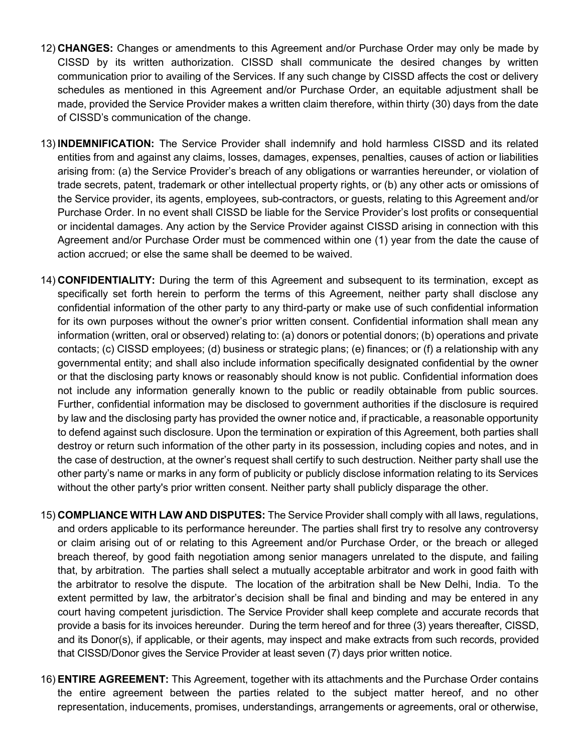- 12) CHANGES: Changes or amendments to this Agreement and/or Purchase Order may only be made by CISSD by its written authorization. CISSD shall communicate the desired changes by written communication prior to availing of the Services. If any such change by CISSD affects the cost or delivery schedules as mentioned in this Agreement and/or Purchase Order, an equitable adjustment shall be made, provided the Service Provider makes a written claim therefore, within thirty (30) days from the date of CISSD's communication of the change.
- 13) INDEMNIFICATION: The Service Provider shall indemnify and hold harmless CISSD and its related entities from and against any claims, losses, damages, expenses, penalties, causes of action or liabilities arising from: (a) the Service Provider's breach of any obligations or warranties hereunder, or violation of trade secrets, patent, trademark or other intellectual property rights, or (b) any other acts or omissions of the Service provider, its agents, employees, sub-contractors, or guests, relating to this Agreement and/or Purchase Order. In no event shall CISSD be liable for the Service Provider's lost profits or consequential or incidental damages. Any action by the Service Provider against CISSD arising in connection with this Agreement and/or Purchase Order must be commenced within one (1) year from the date the cause of action accrued; or else the same shall be deemed to be waived.
- 14) CONFIDENTIALITY: During the term of this Agreement and subsequent to its termination, except as specifically set forth herein to perform the terms of this Agreement, neither party shall disclose any confidential information of the other party to any third-party or make use of such confidential information for its own purposes without the owner's prior written consent. Confidential information shall mean any information (written, oral or observed) relating to: (a) donors or potential donors; (b) operations and private contacts; (c) CISSD employees; (d) business or strategic plans; (e) finances; or (f) a relationship with any governmental entity; and shall also include information specifically designated confidential by the owner or that the disclosing party knows or reasonably should know is not public. Confidential information does not include any information generally known to the public or readily obtainable from public sources. Further, confidential information may be disclosed to government authorities if the disclosure is required by law and the disclosing party has provided the owner notice and, if practicable, a reasonable opportunity to defend against such disclosure. Upon the termination or expiration of this Agreement, both parties shall destroy or return such information of the other party in its possession, including copies and notes, and in the case of destruction, at the owner's request shall certify to such destruction. Neither party shall use the other party's name or marks in any form of publicity or publicly disclose information relating to its Services without the other party's prior written consent. Neither party shall publicly disparage the other.
- 15) COMPLIANCE WITH LAW AND DISPUTES: The Service Provider shall comply with all laws, regulations, and orders applicable to its performance hereunder. The parties shall first try to resolve any controversy or claim arising out of or relating to this Agreement and/or Purchase Order, or the breach or alleged breach thereof, by good faith negotiation among senior managers unrelated to the dispute, and failing that, by arbitration. The parties shall select a mutually acceptable arbitrator and work in good faith with the arbitrator to resolve the dispute. The location of the arbitration shall be New Delhi, India. To the extent permitted by law, the arbitrator's decision shall be final and binding and may be entered in any court having competent jurisdiction. The Service Provider shall keep complete and accurate records that provide a basis for its invoices hereunder. During the term hereof and for three (3) years thereafter, CISSD, and its Donor(s), if applicable, or their agents, may inspect and make extracts from such records, provided that CISSD/Donor gives the Service Provider at least seven (7) days prior written notice.
- 16) **ENTIRE AGREEMENT:** This Agreement, together with its attachments and the Purchase Order contains the entire agreement between the parties related to the subject matter hereof, and no other representation, inducements, promises, understandings, arrangements or agreements, oral or otherwise,